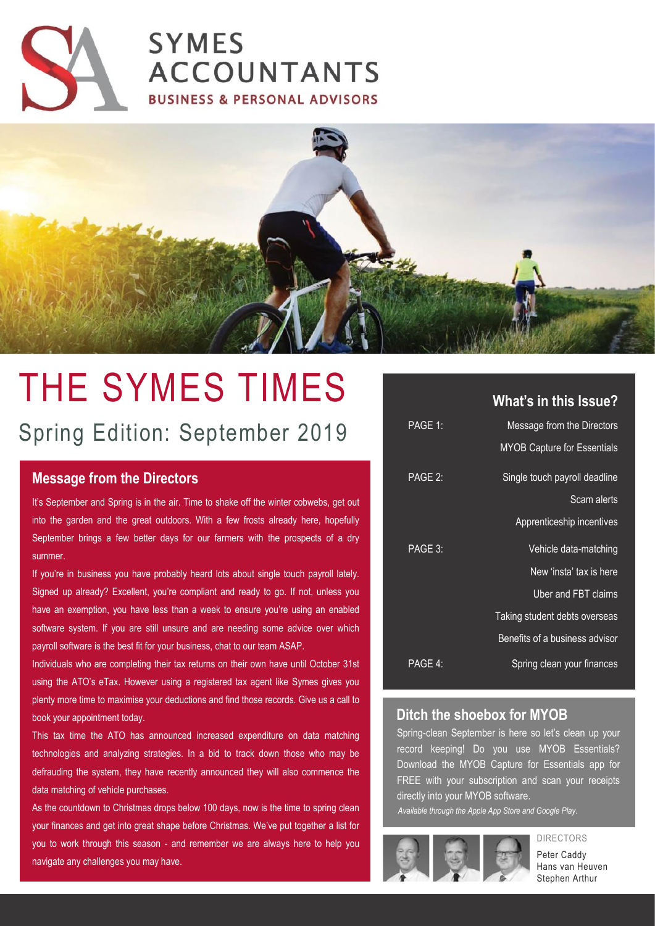



# THE SYMES TIMES

# Spring Edition: September 2019

# **Message from the Directors**

It's September and Spring is in the air. Time to shake off the winter cobwebs, get out into the garden and the great outdoors. With a few frosts already here, hopefully September brings a few better days for our farmers with the prospects of a dry summer.

If you're in business you have probably heard lots about single touch payroll lately. Signed up already? Excellent, you're compliant and ready to go. If not, unless you have an exemption, you have less than a week to ensure you're using an enabled software system. If you are still unsure and are needing some advice over which payroll software is the best fit for your business, chat to our team ASAP.

Individuals who are completing their tax returns on their own have until October 31st using the ATO's eTax. However using a registered tax agent like Symes gives you plenty more time to maximise your deductions and find those records. Give us a call to book your appointment today.

This tax time the ATO has announced increased expenditure on data matching technologies and analyzing strategies. In a bid to track down those who may be defrauding the system, they have recently announced they will also commence the data matching of vehicle purchases.

As the countdown to Christmas drops below 100 days, now is the time to spring clean your finances and get into great shape before Christmas. We've put together a list for you to work through this season - and remember we are always here to help you navigate any challenges you may have.

### **What's in this Issue?**

| PAGE 1: | Message from the Directors         |
|---------|------------------------------------|
|         | <b>MYOB Capture for Essentials</b> |
| PAGE 2: | Single touch payroll deadline      |
|         | Scam alerts                        |
|         | Apprenticeship incentives          |
| PAGE 3: | Vehicle data-matching              |
|         | New 'insta' tax is here            |
|         | Uber and FBT claims                |
|         | Taking student debts overseas      |
|         | Benefits of a business advisor     |
| PAGE 4: | Spring clean your finances         |

## **Ditch the shoebox for MYOB**

Spring-clean September is here so let's clean up your record keeping! Do you use MYOB Essentials? Download the MYOB Capture for Essentials app for FREE with your subscription and scan your receipts directly into your MYOB software.

*Available through the Apple App Store and Google Play.*



DIRECTORS

Peter Caddy Hans van Heuven Stephen Arthur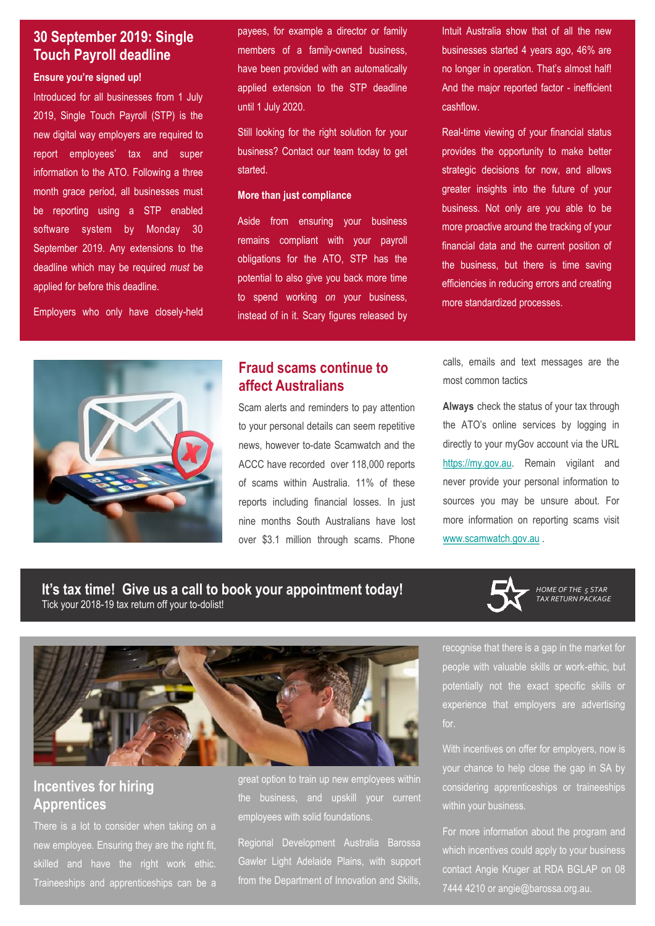# **30 September 2019: Single Touch Payroll deadline**

#### **Ensure you're signed up!**

Introduced for all businesses from 1 July 2019, Single Touch Payroll (STP) is the new digital way employers are required to report employees' tax and super information to the ATO. Following a three month grace period, all businesses must be reporting using a STP enabled software system by Monday 30 September 2019. Any extensions to the deadline which may be required *must* be applied for before this deadline.

Employers who only have closely-held

payees, for example a director or family members of a family-owned business, have been provided with an automatically applied extension to the STP deadline until 1 July 2020.

Still looking for the right solution for your business? Contact our team today to get started.

#### **More than just compliance**

Aside from ensuring your business remains compliant with your payroll obligations for the ATO, STP has the potential to also give you back more time to spend working *on* your business, instead of in it. Scary figures released by

**Fraud scams continue to affect Australians**

Scam alerts and reminders to pay attention to your personal details can seem repetitive news, however to-date Scamwatch and the ACCC have recorded over 118,000 reports of scams within Australia. 11% of these reports including financial losses. In just nine months South Australians have lost over \$3.1 million through scams. Phone

Intuit Australia show that of all the new businesses started 4 years ago, 46% are no longer in operation. That's almost half! And the major reported factor - inefficient cashflow.

Real-time viewing of your financial status provides the opportunity to make better strategic decisions for now, and allows greater insights into the future of your business. Not only are you able to be more proactive around the tracking of your financial data and the current position of the business, but there is time saving efficiencies in reducing errors and creating more standardized processes.

calls, emails and text messages are the most common tactics

**Always** check the status of your tax through the ATO's online services by logging in directly to your myGov account via the URL [https://my.gov.au.](https://my.gov.au) Remain vigilant and never provide your personal information to sources you may be unsure about. For more information on reporting scams visit [www.scamwatch.gov.au](http://www.scamwatch.gov.au) .

### **It's tax time! Give us a call to book your appointment today!** Tick your 2018-19 tax return off your to-dolist!



*HOME OF THE 5 STAR TAX RETURN PACKAGE*



# **Incentives for hiring Apprentices**

There is a lot to consider when taking on a new employee. Ensuring they are the right fit, skilled and have the right work ethic. Traineeships and apprenticeships can be a great option to train up new employees within the business, and upskill your current employees with solid foundations.

Regional Development Australia Barossa Gawler Light Adelaide Plains, with support from the Department of Innovation and Skills,

recognise that there is a gap in the market for people with valuable skills or work-ethic, but potentially not the exact specific skills or experience that employers are advertising for.

With incentives on offer for employers, now is your chance to help close the gap in SA by considering apprenticeships or traineeships within your business.

For more information about the program and which incentives could apply to your business contact Angie Kruger at RDA BGLAP on 08 7444 4210 or angie@barossa.org.au.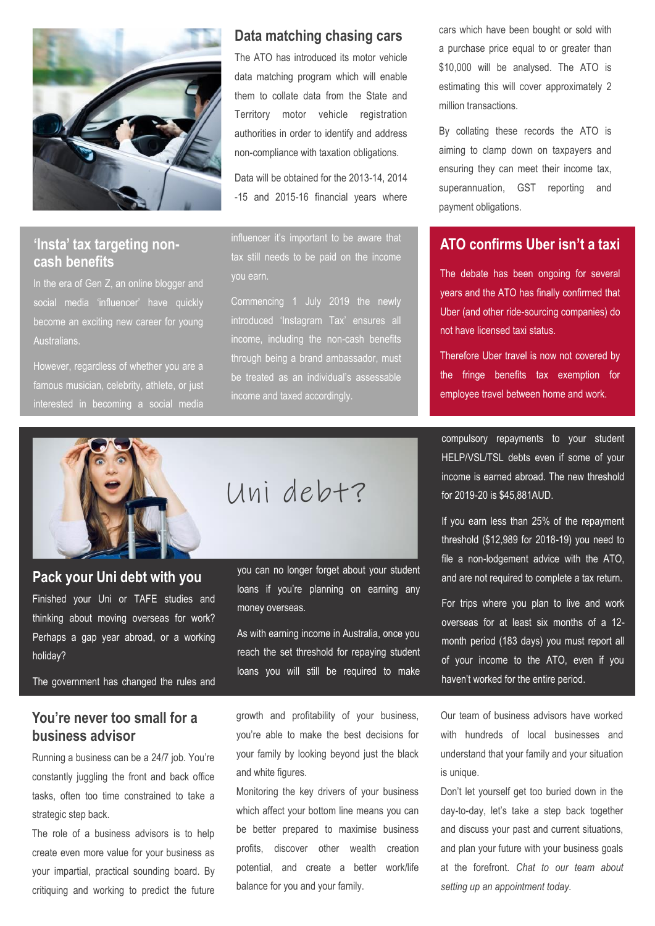

## **'Insta' tax targeting noncash benefits**

In the era of Gen Z, an online blogger and social media 'influencer' have quickly become an exciting new career for young Australians.

However, regardless of whether you are a famous musician, celebrity, athlete, or just interested in becoming a social media



The ATO has introduced its motor vehicle data matching program which will enable them to collate data from the State and Territory motor vehicle registration authorities in order to identify and address non-compliance with taxation obligations.

Data will be obtained for the 2013-14, 2014 -15 and 2015-16 financial years where

influencer it's important to be aware that tax still needs to be paid on the income you earn.

Commencing 1 July 2019 the newly introduced 'Instagram Tax' ensures all income, including the non-cash benefits through being a brand ambassador, must be treated as an individual's assessable income and taxed accordingly.

Uni debt?

### **Pack your Uni debt with you**

Finished your Uni or TAFE studies and thinking about moving overseas for work? Perhaps a gap year abroad, or a working holiday?

The government has changed the rules and

# **You're never too small for a business advisor**

Running a business can be a 24/7 job. You're constantly juggling the front and back office tasks, often too time constrained to take a strategic step back.

The role of a business advisors is to help create even more value for your business as your impartial, practical sounding board. By critiquing and working to predict the future

you can no longer forget about your student loans if you're planning on earning any money overseas.

As with earning income in Australia, once you reach the set threshold for repaying student loans you will still be required to make

growth and profitability of your business, you're able to make the best decisions for your family by looking beyond just the black and white figures.

Monitoring the key drivers of your business which affect your bottom line means you can be better prepared to maximise business profits, discover other wealth creation potential, and create a better work/life balance for you and your family.

cars which have been bought or sold with a purchase price equal to or greater than \$10,000 will be analysed. The ATO is estimating this will cover approximately 2 million transactions.

By collating these records the ATO is aiming to clamp down on taxpayers and ensuring they can meet their income tax, superannuation, GST reporting and payment obligations.

# **ATO confirms Uber isn't a taxi**

The debate has been ongoing for several years and the ATO has finally confirmed that Uber (and other ride-sourcing companies) do not have licensed taxi status.

Therefore Uber travel is now not covered by the fringe benefits tax exemption for employee travel between home and work.

compulsory repayments to your student HELP/VSL/TSL debts even if some of your income is earned abroad. The new threshold for 2019-20 is \$45,881AUD.

If you earn less than 25% of the repayment threshold (\$12,989 for 2018-19) you need to file a non-lodgement advice with the ATO, and are not required to complete a tax return.

For trips where you plan to live and work overseas for at least six months of a 12 month period (183 days) you must report all of your income to the ATO, even if you haven't worked for the entire period.

Our team of business advisors have worked with hundreds of local businesses and understand that your family and your situation is unique.

Don't let yourself get too buried down in the day-to-day, let's take a step back together and discuss your past and current situations, and plan your future with your business goals at the forefront. *Chat to our team about setting up an appointment today.*